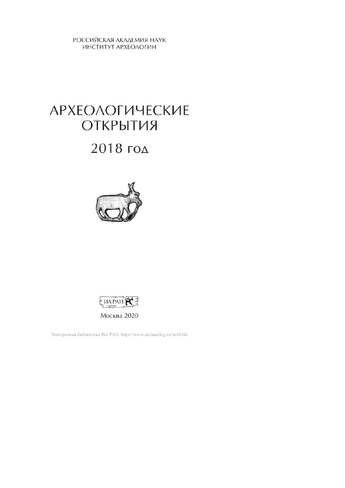РОССИЙСКАЯ АКАДЕМИЯ НАУК ИНСТИТУТ АРХЕОЛОГИИ

# **АРХЕОЛОГИЧЕСКИЕ** ОТКРЫТИЯ

## $2018$  год





Электронная библиотека ИА РАН: https://www.archaeolog.ru/ru/el-bib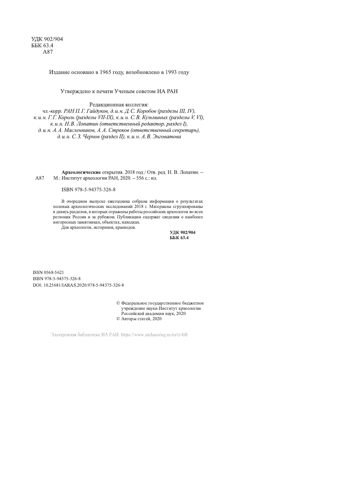Издание основано в 1965 году, возобновлено в 1993 году

Утверждено к печати Ученым советом ИА РАН

Редакционная коллегия:

чл.-корр. РАН П.Г. Гайдуков, д.и.н. Д.С. Коробов (разделы Ш, IV), к.и.н. Г.Г. Король (разделы VII-IX), к.и.н. С.В. Кузьминых (разделы V, VI), к. и. н. Н. В. Лопатин (ответственный редактор, раздел I), д. и. н. А. А. Масленников, А. А. Строков (ответственный секретарь), д. и. н. С. 3. Чернов (раздел II), к. и. н. А. В. Энговатова

Археологические открытия. 2018 год / Отв. ред. Н. В. Лопатин. -М.: Институт археологии РАН, 2020. - 556 с.: ил. A87

#### ISBN 978-5-94375-326-8

В очередном выпуске ежегодника собрана информация о результатах полевых археологических исследований 2018 г. Материалы сгруппированы в девять разделов, в которых отражены работы российских археологов во всех регионах России и за рубежом. Публикации содержат сведения о наиболее интересных памятниках, объектах, находках. Для археологов, историков, краеведов.

УДК 902/904 ББК 63.4

ISSN 0568-5621 ISBN 978-5-94375-326-8 DOI: 10.25681/IARAS.2020.978-5-94375-326-8

> © Федеральное государственное бюджетное учреждение науки Институт археологии Российской академии наук, 2020 © Авторы статей, 2020

Электронная библиотека ИА РАН: https://www.archaeolog.ru/ru/el-bib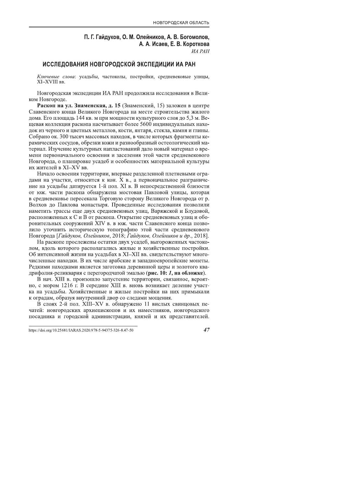#### П. Г. Гайдуков, О. М. Олейников, А. В. Богомолов, А. А. Исаев, Е. В. Короткова  $WA$   $PAH$

#### ИССЛЕДОВАНИЯ НОВГОРОДСКОЙ ЭКСПЕДИЦИИ ИА РАН

Ключевые слова: усадьбы, частоколы, постройки, средневековые улицы, XI-XVIII BB.

Новгородская экспедиции ИА РАН продолжила исследования в Великом Новгороде.

Раскоп на ул. Знаменская, д. 15 (Знаменский, 15) заложен в центре Славенского конца Великого Новгорода на месте строительства жилого дома. Его площадь 144 кв. м при мощности культурного слоя до 5,3 м. Вещевая коллекция раскопа насчитывает более 5600 индивидуальных находок из черного и цветных металлов, кости, янтаря, стекла, камня и глины. Собрано ок. 300 тысяч массовых находок, в числе которых фрагменты керамических сосудов, обрезки кожи и разнообразный остеологический материал. Изучение культурных напластований дало новый материал о времени первоначального освоения и заселения этой части средневекового Новгорода, о планировке усадеб и особенностях материальной культуры их жителей в XI-XV вв.

Начало освоения территории, впервые разделенной плетневыми оградами на участки, относится к кон. Х в., а первоначальное разграничение на усадьбы датируется 1-й пол. XI в. В непосредственной близости от юж. части раскопа обнаружена мостовая Павловой улицы, которая в средневековье пересекала Торговую сторону Великого Новгорода от р. Волхов до Павлова монастыря. Проведенные исследования позволили наметить трассы еще двух средневековых улиц, Варяжской и Блудовой, расположенных к С и В от раскопа. Открытие средневековых улиц и оборонительных сооружений XIV в. в юж. части Славенского конца позволило уточнить историческую топографию этой части средневекового Новгорода [Гайдуков, Олейников, 2018; Гайдуков, Олейников и др., 2018].

На раскопе прослежены остатки двух усадеб, выгороженных частоколом, вдоль которого располагались жилые и хозяйственные постройки. Об интенсивной жизни на усадьбах в XI-XII вв. свидетельствуют многочисленные находки. В их числе арабские и западноевропейские монеты. Редкими находками является заготовка деревянной церы и золотого квадрифолия-реликвария с перегородчатой эмалью (рис. 10: 1, на обложке).

В нач. XIII в. произошло запустение территории, связанное, вероятно, с мором 1216 г. В середине XIII в. вновь возникает деление участка на усадьбы. Хозяйственные и жилые постройки на них примыкали к оградам, образуя внутренний двор со следами мощения.

В слоях 2-й пол. XIII-XV в. обнаружено 11 вислых свинцовых печатей: новгородских архиепископов и их наместников, новгородского посадника и городской администрации, князей и их представителей.

47

https://doi.org/10.25681/IARAS.2020.978-5-94375-326-8.47-50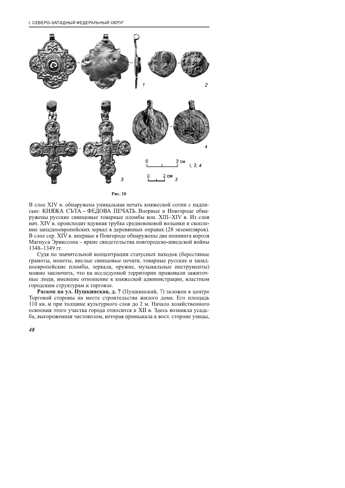І. СЕВЕРО-ЗАПАДНЫЙ ФЕДЕРАЛЬНЫЙ ОКРУГ



В слое XIV в. обнаружена уникальная печать княжеской сотни с надписью: КНЯЖА СЪТА - ФЕДОВА ПЕЧАТЬ. Впервые в Новгороде обнаружены русские свинцовые товарные пломбы кон. XIII-XIV в. Из слоя нач. XIV в. происходит вдувная трубка средневековой волынки и скопление западноевропейских зеркал в деревянных оправах (28 экземпляров). В слое сер. XIV в. впервые в Новгороде обнаружены два пеннинга короля Магнуса Эрикссона - яркие свидетельства новгородско-шведской войны 1348-1349 гг.

Судя по значительной концентрации статусных находок (берестяные грамоты, монеты, вислые свинцовые печати, товарные русские и западноевропейские пломбы, зеркала, оружие, музыкальные инструменты) можно заключить, что на исследуемой территории проживали зажиточные люди, имевшие отношение к княжеской администрации, властным городским структурам и торговле.

Раскоп на ул. Пушкинская, д. 7 (Пушкинский, 7) заложен в центре Торговой стороны на месте строительства жилого дома. Его площадь 110 кв. м при толщине культурного слоя до 2 м. Начало хозяйственного освоения этого участка города относится к XII в. Здесь возникла усадьба, выгороженная частоколом, которая примыкала к вост. стороне улицы,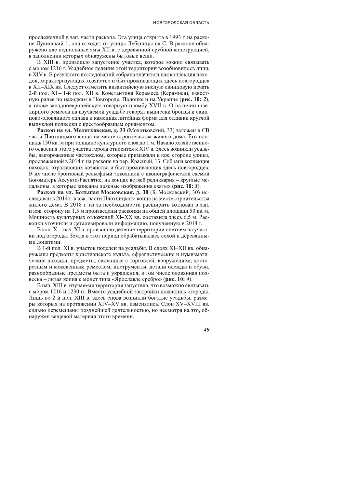прослеженной в зап. части раскопа. Эта улица открыта в 1993 г. на раскопе Лукинский 1, она отходит от улицы Лубяницы на С. В раскопе обнаружено две подпольные ямы XII в. с деревянной срубной конструкцией, в заполнении которых обнаружены бытовые вещи.

В XIII в. произошло запустение участка, которое можно связывать с мором 1216 г. Усадебное деление этой территории возобновилось лишь в XIV в. В результате исследований собрана значительная коллекция находок, характеризующих хозяйство и быт проживающих здесь новгородцев в XII-XIX вв. Следует отметить византийскую вислую свинцовую печать 2-й пол. XI - 1-й пол. XII в. Константина Керамеса (Керамиса), известную ранее по находкам в Новгороде. Полоцке и на Украине (рис. 10: 2). а также западноевропейскую товарную пломбу XVII в. О наличии ювелирного ремесла на изучаемой усадьбе говорят выплески бронзы и свинцово-оловянного сплава и каменная литейная форма для отливки круглой выпуклой подвески с крестообразным орнаментом.

Раскоп на ул. Молотковская, д. 33 (Молотковский, 33) заложен в СВ части Плотницкого конца на месте строительства жилого дома. Его площадь 130 кв. м при толщине культурного слоя до 1 м. Начало хозяйственного освоения этого участка города относится к XIV в. Здесь возникли усадьбы, выгороженные частоколом, которые примыкали к юж. стороне улицы, прослеженной в 2014 г. на раскопе на пер. Красный, 13. Собрана коллекция находок, отражающих хозяйство и быт проживающих здесь новгородцев. В их числе бронзовый рельефный энколпион с иконографической схемой Богоматерь Ассунта-Распятие, на концах ветвей реликвария - круглые медальоны, в которые вписаны поясные изображения святых (рис. 10: 3).

Раскоп на ул. Большая Московская, д. 30 (Б. Московский, 30) исследован в 2014 г. в юж. части Плотницкого конца на месте строительства жилого дома. В 2018 г. из-за необходимости расширить котлован в зап. и юж. сторону на 1,5 м произведены раскопки на общей площади 50 кв. м. Мощность культурных отложений XI-XX вв. составила здесь 6,5 м. Раскопки уточнили и детализировали информацию, полученную в 2014 г.

В кон. X – нач. XI в. произошло деление территории плетнем на участки под огороды. Земля в этот период обрабатывалась сохой и деревянными лопатами.

В 1-й пол. XI в. участок поделен на усадьбы. В слоях XI-XII вв. обнаружены предметы христианского культа, сфрагистические и нумизматические находки, предметы, связанные с торговлей, вооружением, косторезным и кожевенным ремеслом, инструменты, детали одежды и обуви, разнообразные предметы быта и украшения, в том числе оловянная подвеска – литая копия с монет типа «Ярославле сребро» (рис. 10: 4).

В нач. XIII в. изучаемая территория запустела, что возможно связывать с мором 1216 и 1230 гг. Вместо усадебной застройки появились огороды. Лишь во 2-й пол. XIII в. здесь снова возникли богатые усадьбы, размеры которых на протяжении XIV-XV вв. изменялись. Слои XV-XVIII вв. сильно перемешаны позднейшей деятельностью, но несмотря на это, обнаружен вещевой материал этого времени.

49